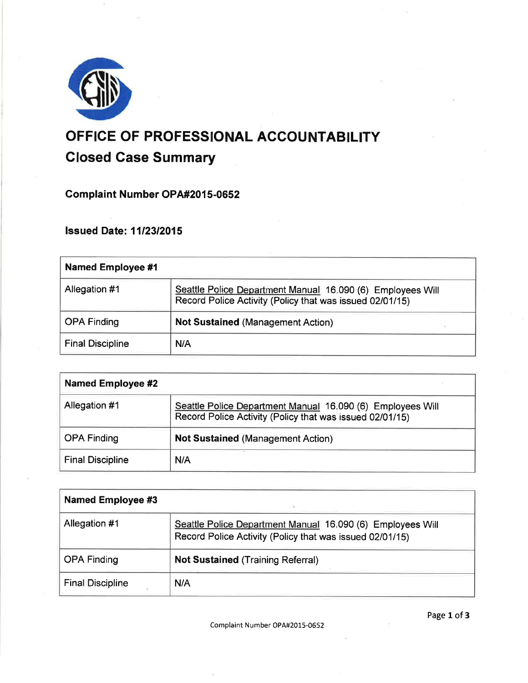

# OFFICE OF PROFESSIONAL ACCOUNTABILITY Closed Gase Summary

Complaint Number OPA#2015-0652

lssued Date: 1112312015

| Named Employee #1       |                                                                                                                        |
|-------------------------|------------------------------------------------------------------------------------------------------------------------|
| Allegation #1           | Seattle Police Department Manual 16.090 (6) Employees Will<br>Record Police Activity (Policy that was issued 02/01/15) |
| <b>OPA Finding</b>      | <b>Not Sustained (Management Action)</b>                                                                               |
| <b>Final Discipline</b> | N/A                                                                                                                    |

| <b>Named Employee #2</b> |                                                                                                                        |
|--------------------------|------------------------------------------------------------------------------------------------------------------------|
| Allegation #1            | Seattle Police Department Manual 16.090 (6) Employees Will<br>Record Police Activity (Policy that was issued 02/01/15) |
| <b>OPA Finding</b>       | <b>Not Sustained (Management Action)</b>                                                                               |
| <b>Final Discipline</b>  | N/A                                                                                                                    |

| <b>Named Employee #3</b> |                                                                                                                        |
|--------------------------|------------------------------------------------------------------------------------------------------------------------|
| Allegation #1            | Seattle Police Department Manual 16.090 (6) Employees Will<br>Record Police Activity (Policy that was issued 02/01/15) |
| <b>OPA Finding</b>       | <b>Not Sustained (Training Referral)</b>                                                                               |
| <b>Final Discipline</b>  | N/A                                                                                                                    |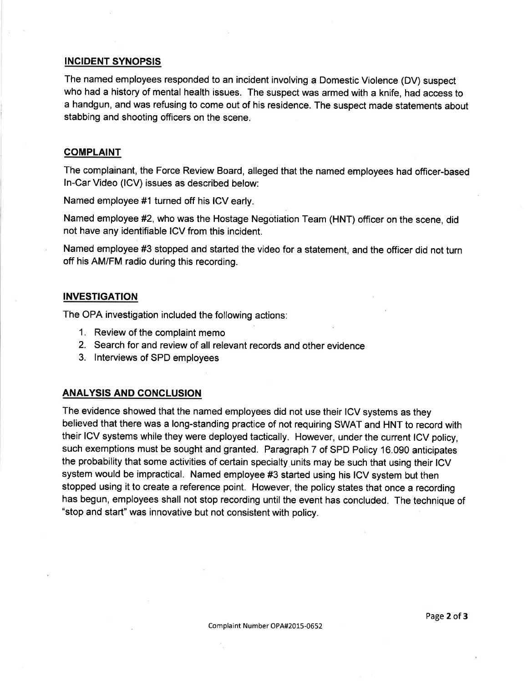# INCIDENT SYNOPSIS

The named employees responded to an incident involving a Domestic Violence (DV) suspect who had a history of mental health issues. The suspect was armed with a knife, had access to a handgun, and was refusing to come out of his residence. The suspect made statements about stabbing and shooting officers on the scene.

#### **COMPLAINT**

The complainant, the Force Review Board, alleged that the named employees had officer-based ln-Car Video (lCV) issues as described below:

Named employee #1 turned off his ICV early.

Named employee #2, who was the Hostage Negotiation Team (HNT) officer on the scene, did not have any identifiable ICV from this incident.

Named employee #3 stopped and started the video for a statement, and the officer did not turn off his AM/FM radio during this recording.

#### INVESTIGATION

The OPA investigation included the following actions:

- 1. Review of the complaint memo
- 2. Search for and review of all relevant records and other evidence
- 3. lnterviews of SPD employees

## ANALYSIS AND CONCLUSION

The evidence showed that the named employees did not use their ICV systems as they believed that there was a long-standing practice of not requiring SWAT and HNT to record with their ICV systems while they were deployed tactically. However, under the current ICV policy, such exemptions must be sought and granted. Paragraph 7 of SPD Policy 16.090 anticipates the probability that some activities of certain specialty units may be such that using their ICV system would be impractical. Named employee #3 started using his ICV system but then stopped using it to create a reference point. However, the policy states that once a recording has begun, employees shall not stop recording until the event has concluded. The technique of "stop and start" was innovative but not consistent with policy.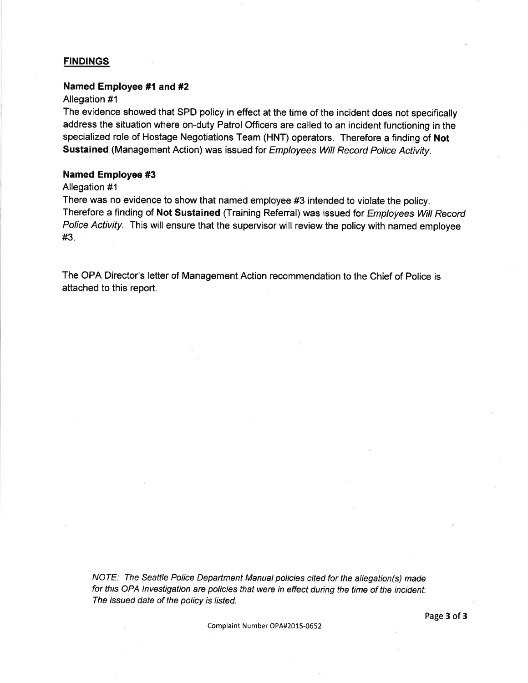#### **FINDINGS**

#### Named Employee #1 and #2

## Allegation #1

The evidence showed that SPD policy in effect at the time of the incident does not specifically address the situation where on-duty Patrol Officers are called to an incident functioning in the specialized role of Hostage Negotiations Team (HNT) operators. Therefore a finding of Not Sustained (Management Action) was issued for Employees Wiil Record Police Activity.

#### Named Employee #3

#### Allegation #1

There was no evidence to show that named employee #3 intended to violate the policy. Therefore a finding of Not Sustained (Training Referral) was issued for Employees Will Record Police Activity. This will ensure that the supervisor will review the policy with named employee #3.

The OPA Director's letter of Management Action recommendation to the Chief of Police is attached to this report.

NOTE: The Seattle Police Department Manual policies cited for the allegation(s) made for this OPA lnvestigation are policies that were in effect during the time of the incident. The issued date of the policy is listed.

Complaint Number OPA#2015-0652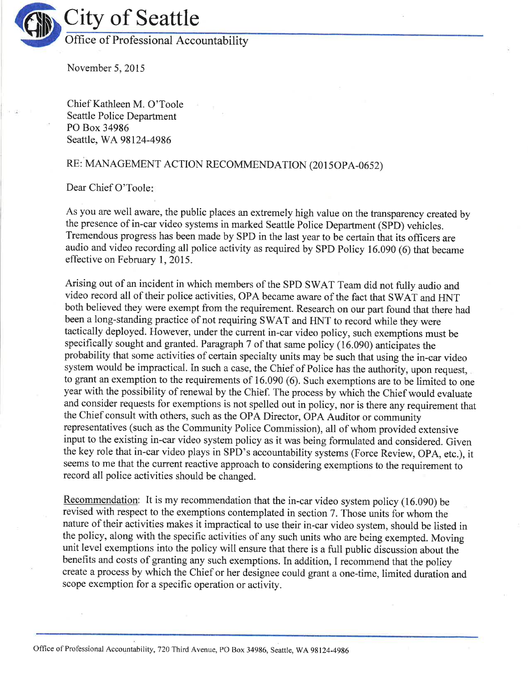

November 5,2015

Chief Kathleen M. O'Toole Seattle Police Department PO Box 34986 Seattle, WA98124-4986

# RE: MANAGEMENT ACTION RECOMMENDATION (2015OPA-0652)

Dear Chief O'Toole

As you are well aware, the public places an extremely high value on the transparency created by the presence of in-car video systems in marked Seattle Police Department (SPD) vehicles. Tremendous progress has been made by SPD in the last year to be certain that its officers are audio and video recording all police activity as required by SPD Policy 16.090 (6) that became effective on February 1,2015.

Arising out of an incident in which members of the SPD SWAT Team did not fully audio and video record all of their police activities, OPA became aware of the fact that SWAT and HNT both believed they were exempt from the requirement. Research on our part found that there had been a long-standing practice of not requiring SWAT and HNT to record while they were tactically deployed. However, under the current in-car video policy, such exemptions must be specifically sought and granted. Paragraph 7 of that same policy (16.090) anticipates the probability that some activities of certain specialty units may be such that using the in-car video system would be impractical. In such a case, the Chief of Police has the authority, upon request, to grant an exemption to the requirements of 16.090 (6). Such exemptions are to be limited to one year with the possibility of renewal by the Chief. The process by which the Chief would evaluate and consider requests for exemptions is not spelled out in policy, nor is there any requirement that the Chief consult with others, such as the OPA Director, OPA Auditor or community representatives (such as the Community Police Commission), all of whom provided extensive input to the existing in-car video system policy as it was being formulated and considered. Given the key role that in-car video plays in SPD's accountability systems (Force Review, OPA, etc.), it seems to me that the current reactive approach to considering exemptions to the requirement to record all police activities should be changed

Recommendation: It is my recommendation that the in-car video system policy (16.090) be revised with respect to the exemptions contemplated in section 7. Those units for whom the nature of their activities makes it impractical to use their in-car video system, should be listed in the policy, along with the specific activities of any such units who are being exempted. Moving unit level exemptions into the policy will ensure that there is a full public discussion about the benefits and costs of granting any such exemptions. In addition, I recommend that the policy create a process by which the Chief or her designee could grant a one-time, limited duration and scope exemption for a specific operation or activity.